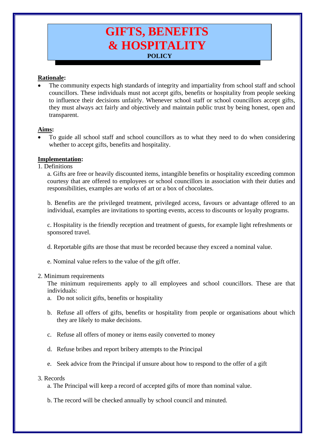# **GIFTS, BENEFITS & HOSPITALITY POLICY**

# **Rationale:**

• The community expects high standards of integrity and impartiality from school staff and school councillors. These individuals must not accept gifts, benefits or hospitality from people seeking to influence their decisions unfairly. Whenever school staff or school councillors accept gifts, they must always act fairly and objectively and maintain public trust by being honest, open and transparent.

# **Aims:**

• To guide all school staff and school councillors as to what they need to do when considering whether to accept gifts, benefits and hospitality.

# **Implementation:**

1. Definitions

a. Gifts are free or heavily discounted items, intangible benefits or hospitality exceeding common courtesy that are offered to employees or school councillors in association with their duties and responsibilities, examples are works of art or a box of chocolates.

b. Benefits are the privileged treatment, privileged access, favours or advantage offered to an individual, examples are invitations to sporting events, access to discounts or loyalty programs.

c. Hospitality is the friendly reception and treatment of guests, for example light refreshments or sponsored travel.

- d. Reportable gifts are those that must be recorded because they exceed a nominal value.
- e. Nominal value refers to the value of the gift offer.

#### 2. Minimum requirements

The minimum requirements apply to all employees and school councillors. These are that individuals:

- a. Do not solicit gifts, benefits or hospitality
- b. Refuse all offers of gifts, benefits or hospitality from people or organisations about which they are likely to make decisions.
- c. Refuse all offers of money or items easily converted to money
- d. Refuse bribes and report bribery attempts to the Principal
- e. Seek advice from the Principal if unsure about how to respond to the offer of a gift

#### 3. Records

a. The Principal will keep a record of accepted gifts of more than nominal value.

b. The record will be checked annually by school council and minuted.